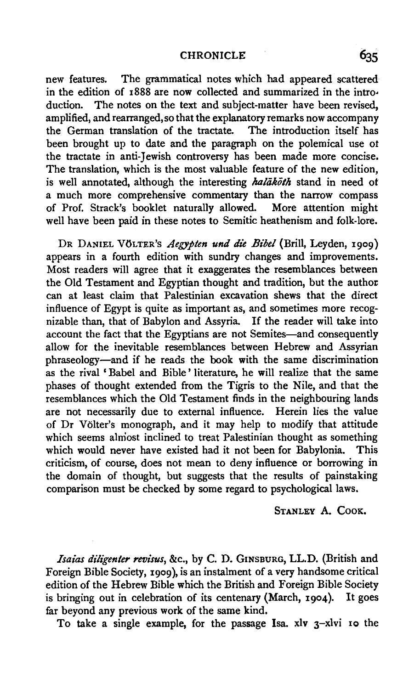## CHRONICLE 635

new features. The grammatical notes which had appeared scattered in the edition of 1888 are now collected and summarized in the intro-<br>duction. The notes on the text and subject-matter have been revised, The notes on the text and subject-matter have been revised. amplified, and rearranged, so that the explanatory remarks now accompany the German translation of the tractate. The introduction itself has been brought up to date and the paragraph on the polemical use *ot*  the tractate in anti-Jewish controversy has been made more concise. The translation, which is the most valuable feature of the new edition, is well annotated, although the interesting *halakoth* stand in need of a much more comprehensive commentary than the narrow compass of Prof. Strack's booklet naturally allowed. More attention might well have been paid in these notes to Semitic heathenism and folk-lore.

DR DANIEL VOLTER'S *Aegypten una die Bibel* (Brill, Leyden, 1909) appears in a fourth edition with sundry changes and improvements. Most readers will agree that it exaggerates the resemblances between the Old Testament and Egyptian thought and tradition, but the authot can at least claim that Palestinian excavation shews that the direct influence of Egypt is quite as important as, and sometimes more recognizable than, that of Babylon and Assyria. If the reader will take into account the fact that the Egyptians are not Semites-and consequently allow for the inevitable resemblances between Hebrew and Assyrian phraseology-and if he reads the book with the same discrimination as the rival 'Babel and Bible' literature, he will realize that the same phases of thought extended from the Tigris to the Nile, and that the resemblances which the Old Testament finds in the neighbouring lands are not necessarily due to external influence. Herein lies the value of Dr Volter's monograph, and it may help to modify that attitude which seems almost inclined to treat Palestinian thought as something which would never have existed had it not been for Babylonia. This criticism, of course, does not mean to deny influence or borrowing in the domain of thought, but suggests that the results of painstaking comparison must be checked by some regard to psychological laws.

## STANLEY A. CooK.

*Isaias diligen/er revisus,* &c., by C. D. GINSBURG, LL.D. (British and Foreign Bible Society, 1909), is an instalment of a very handsome critical edition of the Hebrew Bible which the British and Foreign Bible Society is bringing out in celebration of its centenary (March, 1904). It goes far beyond any previous work of the same kind.

To take a single example, for the passage Isa. xlv 3-xlvi 10 the